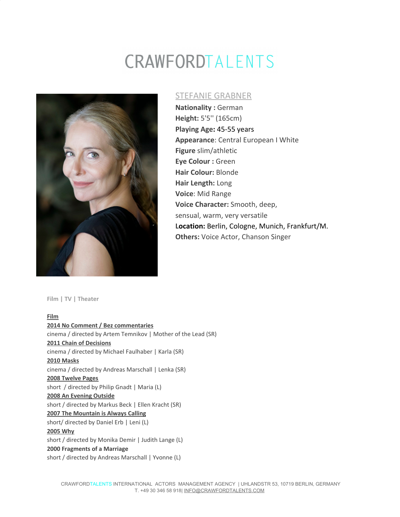# CRAWFORDTALENTS



## STEFANIE GRABNER

**Nationality :** German **Height:** 5'5'' (165cm) **Playing Age:** 45-55 years **Appearance**: Central European I White **Figure** slim/athletic **Eye Colour :** Green **Hair Colour:** Blonde **Hair Length:** Long **Voice**: Mid Range **Voice Character:** Smooth, deep, sensual, warm, very versatile **Location:** Berlin, Cologne, Munich, Frankfurt/M. **Others:** Voice Actor, Chanson Singer

**Film | TV | Theater**

**Film 2014 No Comment / Bez commentaries** cinema / directed by Artem Temnikov | Mother of the Lead (SR) **2011 Chain of Decisions** cinema / directed by Michael Faulhaber | Karla (SR) **2010 Masks** cinema / directed by Andreas Marschall | Lenka (SR) **2008 Twelve Pages** short / directed by Philip Gnadt | Maria (L) **2008 An Evening Outside** short / directed by Markus Beck | Ellen Kracht (SR) **2007 The Mountain is Always Calling** short/ directed by Daniel Erb | Leni (L) **2005 Why** short / directed by Monika Demir | Judith Lange (L) **2000 Fragments of a Marriage** short / directed by Andreas Marschall | Yvonne (L)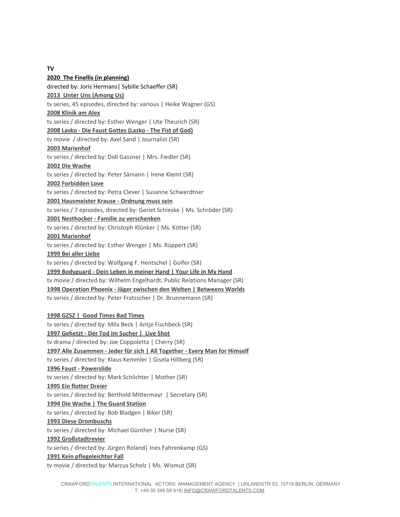**TV**

**2020 The Finellis (in planning)** directed by: Joris Hermans| Sybille Schaeffer (SR) **2013 Unter Uns (Among Us)** tv series, 45 episodes, directed by: various | Heike Wagner (GS) **2008 Klinik am Alex** tv series / directed by: Esther Wenger | Ute Theurich (SR) **2008 Lasko - Die Faust Gottes (Lasko - The Fist of God)** tv movie / directed by: Axel Sand | Journalist (SR) **2003 Marienhof** tv series / directed by: Didi Gassner | Mrs. Fiedler (SR) **2002 Die Wache** tv series / directed by: Peter Sämann | Irene Klemt (SR) **2002 Forbidden Love** tv series / directed by: Petra Clever | Susanne Schwerdtner **2001 Hausmeister Krause - Ordnung muss sein** tv series / 7 episodes, directed by: Geriet Schieske | Ms. Schröder (SR) **2001 Nesthocker - Familie zu verschenken** tv series / directed by: Christoph Klünker | Ms. Kötter (SR) **2001 Marienhof** tv series / directed by: Esther Wenger | Ms. Rüppert (SR) **1999 Bei aller Liebe** tv series / directed by: Wolfgang F. Hentschel | Golfer (SR) **1999 Bodyguard - Dein Leben in meiner Hand | Your Life in My Hand** tv movie / directed by: Wilhelm Engelhardt, Public Relations Manager (SR) **1998 Operation Phoenix - Jäger zwischen den Welten | Betweens Worlds** tv series / directed by: Peter Fratzscher | Dr. Brunnemann (SR) **1998 GZSZ | Good Times Bad Times** tv series / directed by: Mila Beck | Antje Fischbeck (SR) **1997 Gehetzt - Der Tod im Sucher | Live Shot** tv drama / directed by: Joe Coppoletta | Cherry (SR) **1997 Alle Zusammen - Jeder für sich | All Together - Every Man for Himself** tv series / directed by: Klaus Kemmler | Gisela Hillberg (SR) **1996 Faust - Powerslide** tv series / directed by: Mark Schlichter | Mother (SR) **1995 Ein flotter Dreier**

tv series / directed by: Berthold Mittermayr | Secretary (SR)

#### **1994 Die Wache | The Guard Station**

tv series / directed by: Bob Bladgen | Biker (SR)

#### **1993 Diese Drombuschs**

tv series / directed by: Michael Günther | Nurse (SR)

#### **1992 Großstadtrevier**

tv series / directed by: Jürgen Roland| Ines Fahrenkamp (GS)

#### **1991 Kein pflegeleichter Fall**

tv movie / directed by: Marcus Scholz | Ms. Wismut (SR)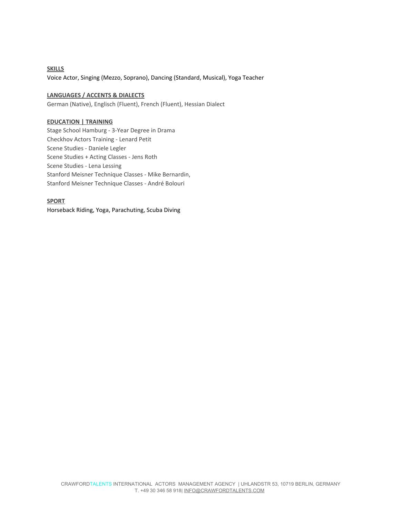**SKILLS** Voice Actor, Singing (Mezzo, Soprano), Dancing (Standard, Musical), Yoga Teacher

### **LANGUAGES / ACCENTS & DIALECTS**

German (Native), Englisch (Fluent), French (Fluent), Hessian Dialect

#### **EDUCATION | TRAINING**

Stage School Hamburg - 3-Year Degree in Drama Checkhov Actors Training - Lenard Petit Scene Studies - Daniele Legler Scene Studies + Acting Classes - Jens Roth Scene Studies - Lena Lessing Stanford Meisner Technique Classes - Mike Bernardin, Stanford Meisner Technique Classes - André Bolouri

### **SPORT**

Horseback Riding, Yoga, Parachuting, Scuba Diving